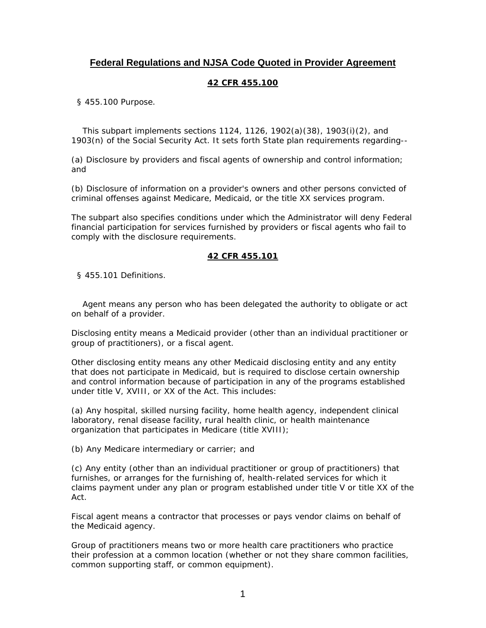# **Federal Regulations and NJSA Code Quoted in Provider Agreement**

## **42 CFR 455.100**

§ 455.100 Purpose.

 This subpart implements sections 1124, 1126, 1902(a)(38), 1903(i)(2), and 1903(n) of the Social Security Act. It sets forth State plan requirements regarding--

(a) Disclosure by providers and fiscal agents of ownership and control information; and

(b) Disclosure of information on a provider's owners and other persons convicted of criminal offenses against Medicare, Medicaid, or the title XX services program.

The subpart also specifies conditions under which the Administrator will deny Federal financial participation for services furnished by providers or fiscal agents who fail to comply with the disclosure requirements.

### **42 CFR 455.101**

§ 455.101 Definitions.

 Agent means any person who has been delegated the authority to obligate or act on behalf of a provider.

Disclosing entity means a Medicaid provider (other than an individual practitioner or group of practitioners), or a fiscal agent.

Other disclosing entity means any other Medicaid disclosing entity and any entity that does not participate in Medicaid, but is required to disclose certain ownership and control information because of participation in any of the programs established under title V, XVIII, or XX of the Act. This includes:

(a) Any hospital, skilled nursing facility, home health agency, independent clinical laboratory, renal disease facility, rural health clinic, or health maintenance organization that participates in Medicare (title XVIII);

(b) Any Medicare intermediary or carrier; and

(c) Any entity (other than an individual practitioner or group of practitioners) that furnishes, or arranges for the furnishing of, health-related services for which it claims payment under any plan or program established under title V or title XX of the Act.

Fiscal agent means a contractor that processes or pays vendor claims on behalf of the Medicaid agency.

Group of practitioners means two or more health care practitioners who practice their profession at a common location (whether or not they share common facilities, common supporting staff, or common equipment).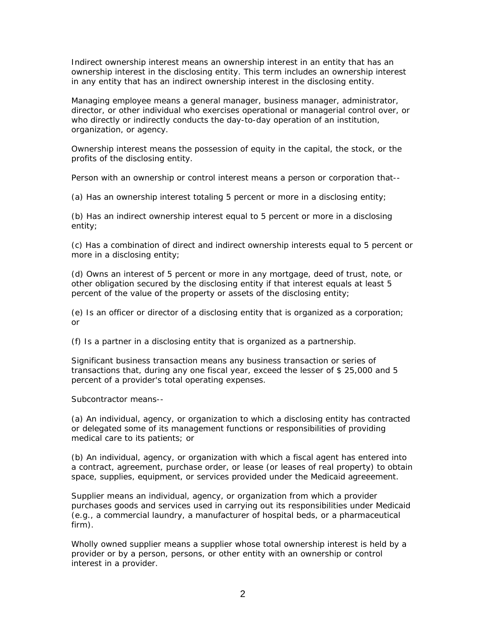Indirect ownership interest means an ownership interest in an entity that has an ownership interest in the disclosing entity. This term includes an ownership interest in any entity that has an indirect ownership interest in the disclosing entity.

Managing employee means a general manager, business manager, administrator, director, or other individual who exercises operational or managerial control over, or who directly or indirectly conducts the day-to-day operation of an institution, organization, or agency.

Ownership interest means the possession of equity in the capital, the stock, or the profits of the disclosing entity.

Person with an ownership or control interest means a person or corporation that--

(a) Has an ownership interest totaling 5 percent or more in a disclosing entity;

(b) Has an indirect ownership interest equal to 5 percent or more in a disclosing entity;

(c) Has a combination of direct and indirect ownership interests equal to 5 percent or more in a disclosing entity;

(d) Owns an interest of 5 percent or more in any mortgage, deed of trust, note, or other obligation secured by the disclosing entity if that interest equals at least 5 percent of the value of the property or assets of the disclosing entity;

(e) Is an officer or director of a disclosing entity that is organized as a corporation; or

(f) Is a partner in a disclosing entity that is organized as a partnership.

Significant business transaction means any business transaction or series of transactions that, during any one fiscal year, exceed the lesser of \$ 25,000 and 5 percent of a provider's total operating expenses.

Subcontractor means--

(a) An individual, agency, or organization to which a disclosing entity has contracted or delegated some of its management functions or responsibilities of providing medical care to its patients; or

(b) An individual, agency, or organization with which a fiscal agent has entered into a contract, agreement, purchase order, or lease (or leases of real property) to obtain space, supplies, equipment, or services provided under the Medicaid agreeement.

Supplier means an individual, agency, or organization from which a provider purchases goods and services used in carrying out its responsibilities under Medicaid (e.g., a commercial laundry, a manufacturer of hospital beds, or a pharmaceutical firm).

Wholly owned supplier means a supplier whose total ownership interest is held by a provider or by a person, persons, or other entity with an ownership or control interest in a provider.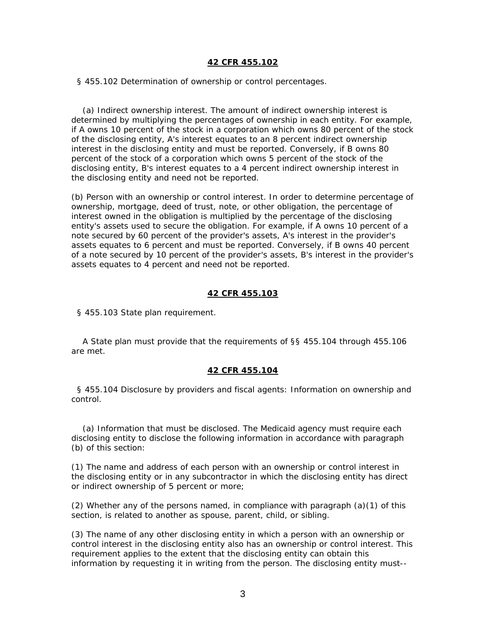#### **42 CFR 455.102**

§ 455.102 Determination of ownership or control percentages.

 (a) Indirect ownership interest. The amount of indirect ownership interest is determined by multiplying the percentages of ownership in each entity. For example, if A owns 10 percent of the stock in a corporation which owns 80 percent of the stock of the disclosing entity, A's interest equates to an 8 percent indirect ownership interest in the disclosing entity and must be reported. Conversely, if B owns 80 percent of the stock of a corporation which owns 5 percent of the stock of the disclosing entity, B's interest equates to a 4 percent indirect ownership interest in the disclosing entity and need not be reported.

(b) Person with an ownership or control interest. In order to determine percentage of ownership, mortgage, deed of trust, note, or other obligation, the percentage of interest owned in the obligation is multiplied by the percentage of the disclosing entity's assets used to secure the obligation. For example, if A owns 10 percent of a note secured by 60 percent of the provider's assets, A's interest in the provider's assets equates to 6 percent and must be reported. Conversely, if B owns 40 percent of a note secured by 10 percent of the provider's assets, B's interest in the provider's assets equates to 4 percent and need not be reported.

#### **42 CFR 455.103**

§ 455.103 State plan requirement.

 A State plan must provide that the requirements of §§ 455.104 through 455.106 are met.

#### **42 CFR 455.104**

 § 455.104 Disclosure by providers and fiscal agents: Information on ownership and control.

 (a) Information that must be disclosed. The Medicaid agency must require each disclosing entity to disclose the following information in accordance with paragraph (b) of this section:

(1) The name and address of each person with an ownership or control interest in the disclosing entity or in any subcontractor in which the disclosing entity has direct or indirect ownership of 5 percent or more;

(2) Whether any of the persons named, in compliance with paragraph (a)(1) of this section, is related to another as spouse, parent, child, or sibling.

(3) The name of any other disclosing entity in which a person with an ownership or control interest in the disclosing entity also has an ownership or control interest. This requirement applies to the extent that the disclosing entity can obtain this information by requesting it in writing from the person. The disclosing entity must--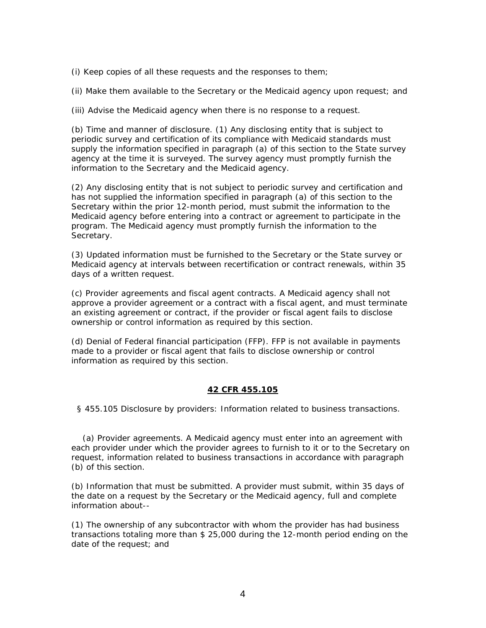(i) Keep copies of all these requests and the responses to them;

(ii) Make them available to the Secretary or the Medicaid agency upon request; and

(iii) Advise the Medicaid agency when there is no response to a request.

(b) Time and manner of disclosure. (1) Any disclosing entity that is subject to periodic survey and certification of its compliance with Medicaid standards must supply the information specified in paragraph (a) of this section to the State survey agency at the time it is surveyed. The survey agency must promptly furnish the information to the Secretary and the Medicaid agency.

(2) Any disclosing entity that is not subject to periodic survey and certification and has not supplied the information specified in paragraph (a) of this section to the Secretary within the prior 12-month period, must submit the information to the Medicaid agency before entering into a contract or agreement to participate in the program. The Medicaid agency must promptly furnish the information to the Secretary.

(3) Updated information must be furnished to the Secretary or the State survey or Medicaid agency at intervals between recertification or contract renewals, within 35 days of a written request.

(c) Provider agreements and fiscal agent contracts. A Medicaid agency shall not approve a provider agreement or a contract with a fiscal agent, and must terminate an existing agreement or contract, if the provider or fiscal agent fails to disclose ownership or control information as required by this section.

(d) Denial of Federal financial participation (FFP). FFP is not available in payments made to a provider or fiscal agent that fails to disclose ownership or control information as required by this section.

## **42 CFR 455.105**

§ 455.105 Disclosure by providers: Information related to business transactions.

 (a) Provider agreements. A Medicaid agency must enter into an agreement with each provider under which the provider agrees to furnish to it or to the Secretary on request, information related to business transactions in accordance with paragraph (b) of this section.

(b) Information that must be submitted. A provider must submit, within 35 days of the date on a request by the Secretary or the Medicaid agency, full and complete information about--

(1) The ownership of any subcontractor with whom the provider has had business transactions totaling more than \$ 25,000 during the 12-month period ending on the date of the request; and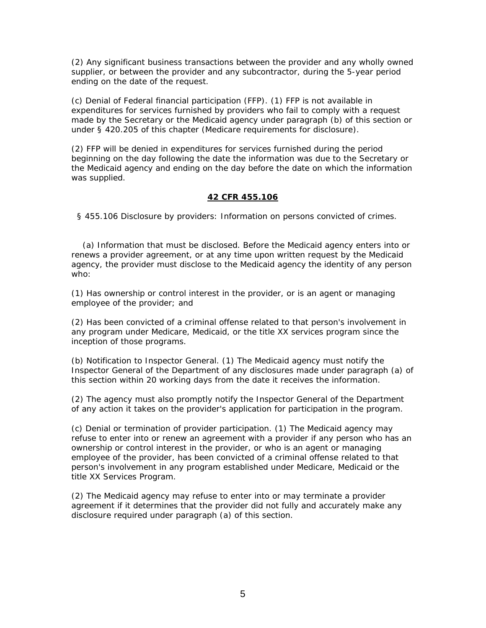(2) Any significant business transactions between the provider and any wholly owned supplier, or between the provider and any subcontractor, during the 5-year period ending on the date of the request.

(c) Denial of Federal financial participation (FFP). (1) FFP is not available in expenditures for services furnished by providers who fail to comply with a request made by the Secretary or the Medicaid agency under paragraph (b) of this section or under § 420.205 of this chapter (Medicare requirements for disclosure).

(2) FFP will be denied in expenditures for services furnished during the period beginning on the day following the date the information was due to the Secretary or the Medicaid agency and ending on the day before the date on which the information was supplied.

## **42 CFR 455.106**

§ 455.106 Disclosure by providers: Information on persons convicted of crimes.

 (a) Information that must be disclosed. Before the Medicaid agency enters into or renews a provider agreement, or at any time upon written request by the Medicaid agency, the provider must disclose to the Medicaid agency the identity of any person who:

(1) Has ownership or control interest in the provider, or is an agent or managing employee of the provider; and

(2) Has been convicted of a criminal offense related to that person's involvement in any program under Medicare, Medicaid, or the title XX services program since the inception of those programs.

(b) Notification to Inspector General. (1) The Medicaid agency must notify the Inspector General of the Department of any disclosures made under paragraph (a) of this section within 20 working days from the date it receives the information.

(2) The agency must also promptly notify the Inspector General of the Department of any action it takes on the provider's application for participation in the program.

(c) Denial or termination of provider participation. (1) The Medicaid agency may refuse to enter into or renew an agreement with a provider if any person who has an ownership or control interest in the provider, or who is an agent or managing employee of the provider, has been convicted of a criminal offense related to that person's involvement in any program established under Medicare, Medicaid or the title XX Services Program.

(2) The Medicaid agency may refuse to enter into or may terminate a provider agreement if it determines that the provider did not fully and accurately make any disclosure required under paragraph (a) of this section.